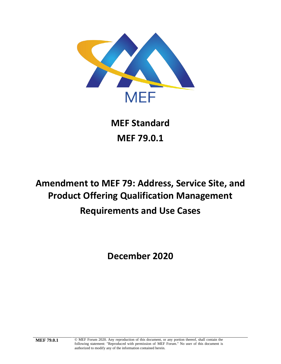<span id="page-0-0"></span>

**MEF Standard [MEF 79.0.1](#page-0-0)**

# **[Amendment to MEF 79: Address,](#page-0-0) Service Site, and [Product Offering Qualification Management](#page-0-0) [Requirements and Use Cases](#page-0-0)**

**[December 2020](#page-0-0)**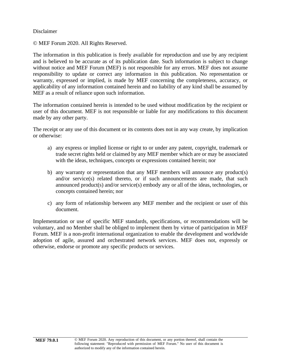#### Disclaimer

© MEF Forum 2020. All Rights Reserved.

The information in this publication is freely available for reproduction and use by any recipient and is believed to be accurate as of its publication date. Such information is subject to change without notice and MEF Forum (MEF) is not responsible for any errors. MEF does not assume responsibility to update or correct any information in this publication. No representation or warranty, expressed or implied, is made by MEF concerning the completeness, accuracy, or applicability of any information contained herein and no liability of any kind shall be assumed by MEF as a result of reliance upon such information.

The information contained herein is intended to be used without modification by the recipient or user of this document. MEF is not responsible or liable for any modifications to this document made by any other party.

The receipt or any use of this document or its contents does not in any way create, by implication or otherwise:

- a) any express or implied license or right to or under any patent, copyright, trademark or trade secret rights held or claimed by any MEF member which are or may be associated with the ideas, techniques, concepts or expressions contained herein; nor
- b) any warranty or representation that any MEF members will announce any product(s) and/or service(s) related thereto, or if such announcements are made, that such announced product(s) and/or service(s) embody any or all of the ideas, technologies, or concepts contained herein; nor
- c) any form of relationship between any MEF member and the recipient or user of this document.

Implementation or use of specific MEF standards, specifications, or recommendations will be voluntary, and no Member shall be obliged to implement them by virtue of participation in MEF Forum. MEF is a non-profit international organization to enable the development and worldwide adoption of agile, assured and orchestrated network services. MEF does not, expressly or otherwise, endorse or promote any specific products or services.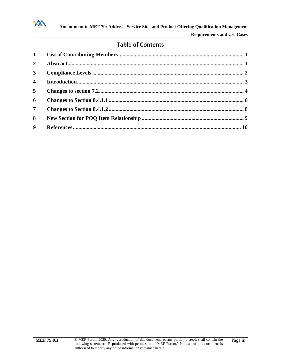

**[Requirements and Use Cases](#page-0-0)**

## **Table of Contents**

| $1 \quad$               |  |
|-------------------------|--|
| $\overline{2}$          |  |
| $\mathbf{3}$            |  |
| $\overline{\mathbf{4}}$ |  |
| $5^{\circ}$             |  |
| 6                       |  |
| $7^{\circ}$             |  |
| 8                       |  |
| 9                       |  |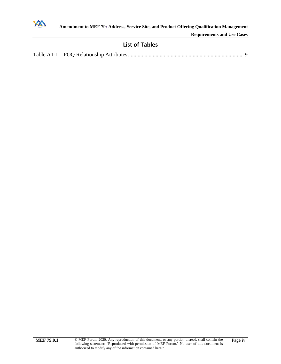

**[Requirements and Use Cases](#page-0-0)**

## **List of Tables**

|--|--|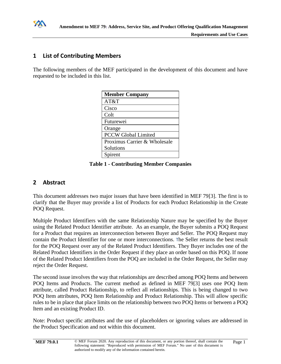

### <span id="page-4-0"></span>**1 List of Contributing Members**

The following members of the MEF participated in the development of this document and have requested to be included in this list.

| <b>Member Company</b>        |  |  |
|------------------------------|--|--|
| AT&T                         |  |  |
| Cisco                        |  |  |
| Colt                         |  |  |
| Futurewei                    |  |  |
| Orange                       |  |  |
| <b>PCCW Global Limited</b>   |  |  |
| Proximus Carrier & Wholesale |  |  |
| Solutions                    |  |  |
| Spirent                      |  |  |

**Table 1 - Contributing Member Companies**

## <span id="page-4-1"></span>**2 Abstract**

This document addresses two major issues that have been identified in MEF 7[9\[3\].](#page-13-1) The first is to clarify that the Buyer may provide a list of Products for each Product Relationship in the Create POQ Request.

Multiple Product Identifiers with the same Relationship Nature may be specified by the Buyer using the Related Product Identifier attribute. As an example, the Buyer submits a POQ Request for a Product that requires an interconnection between Buyer and Seller. The POQ Request may contain the Product Identifier for one or more interconnections. The Seller returns the best result for the POQ Request over any of the Related Product Identifiers. They Buyer includes one of the Related Product Identifiers in the Order Request if they place an order based on this POQ. If none of the Related Product Identifiers from the POQ are included in the Order Request, the Seller may reject the Order Request.

The second issue involves the way that relationships are described among POQ Items and between POQ Items and Products. The current method as defined in MEF 7[9\[3\]](#page-13-1) uses one POQ Item attribute, called Product Relationship, to reflect all relationships. This is being changed to two POQ Item attributes, POQ Item Relationship and Product Relationship. This will allow specific rules to be in place that place limits on the relationship between two POQ Items or between a POQ Item and an existing Product ID.

Note: Product specific attributes and the use of placeholders or ignoring values are addressed in the Product Specification and not within this document.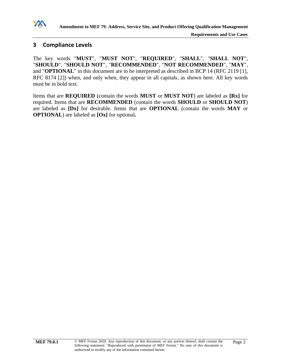

#### <span id="page-5-0"></span>**3 Compliance Levels**

The key words "**MUST**", "**MUST NOT**", "**REQUIRED**", "**SHALL**", "**SHALL NOT**", "**SHOULD**", "**SHOULD NOT**", "**RECOMMENDED**", "**NOT RECOMMENDED**", "**MAY**", and "**OPTIONAL**" in this document are to be interpreted as described in BCP 14 (RFC 2119 [\[1\],](#page-13-2) RFC 8174 [\[2\]\)](#page-13-3) when, and only when, they appear in all capitals, as shown here. All key words must be in bold text.

Items that are **REQUIRED** (contain the words **MUST** or **MUST NOT**) are labeled as **[Rx]** for required. Items that are **RECOMMENDED** (contain the words **SHOULD** or **SHOULD NOT**) are labeled as **[Dx]** for desirable. Items that are **OPTIONAL** (contain the words **MAY** or **OPTIONAL**) are labeled as **[Ox]** for optional**.**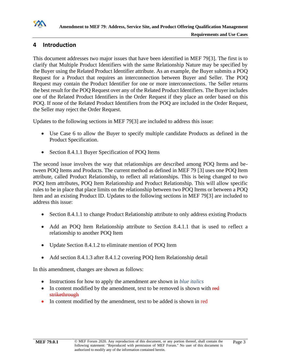

## <span id="page-6-0"></span>**4 Introduction**

This document addresses two major issues that have been identified in MEF 7[9\[3\].](#page-13-1) The first is to clarify that Multiple Product Identifiers with the same Relationship Nature may be specified by the Buyer using the Related Product Identifier attribute. As an example, the Buyer submits a POQ Request for a Product that requires an interconnection between Buyer and Seller. The POQ Request may contain the Product Identifier for one or more interconnections. The Seller returns the best result for the POQ Request over any of the Related Product Identifiers. The Buyer includes one of the Related Product Identifiers in the Order Request if they place an order based on this POQ. If none of the Related Product Identifiers from the POQ are included in the Order Request, the Seller may reject the Order Request.

Updates to the following sections in MEF 7[9\[3\]](#page-13-1) are included to address this issue:

- Use Case 6 to allow the Buyer to specify multiple candidate Products as defined in the Product Specification.
- Section 8.4.1.1 Buyer Specification of POQ Items

The second issue involves the way that relationships are described among POQ Items and between POQ Items and Products. The current method as defined in MEF 79 [\[3\]](#page-13-1) uses one POQ Item attribute, called Product Relationship, to reflect all relationships. This is being changed to two POQ Item attributes, POQ Item Relationship and Product Relationship. This will allow specific rules to be in place that place limits on the relationship between two POQ Items or between a POQ Item and an existing Product ID. Updates to the following sections in MEF 7[9\[3\]](#page-13-1) are included to address this issue:

- Section 8.4.1.1 to change Product Relationship attribute to only address existing Products
- Add an POQ Item Relationship attribute to Section 8.4.1.1 that is used to reflect a relationship to another POQ Item
- Update Section 8.4.1.2 to eliminate mention of POQ Item
- Add section 8.4.1.3 after 8.4.1.2 covering POQ Item Relationship detail

In this amendment, changes are shown as follows:

- Instructions for how to apply the amendment are shown in *blue italics*
- In content modified by the amendment, text to be removed is shown with red strikethrough
- In content modified by the amendment, text to be added is shown in red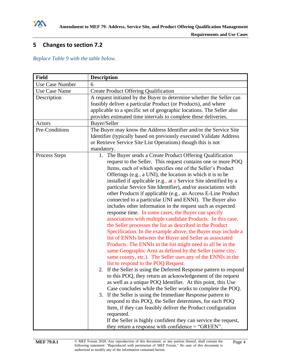

# <span id="page-7-0"></span>**5 Changes to section 7.2**

*Replace Table 9 with the table below.*

| <b>Field</b>         | <b>Description</b>                                                                                                                                                                                                                                                                                                                                                                                                                                                                                                                                                                                                                                                                                                                                                                                                                                                                                                                                                                                                                                                                                                                                                                                                                                                                                                                                                                                                                                                                                                                                                                                                                                                                                                                          |  |  |
|----------------------|---------------------------------------------------------------------------------------------------------------------------------------------------------------------------------------------------------------------------------------------------------------------------------------------------------------------------------------------------------------------------------------------------------------------------------------------------------------------------------------------------------------------------------------------------------------------------------------------------------------------------------------------------------------------------------------------------------------------------------------------------------------------------------------------------------------------------------------------------------------------------------------------------------------------------------------------------------------------------------------------------------------------------------------------------------------------------------------------------------------------------------------------------------------------------------------------------------------------------------------------------------------------------------------------------------------------------------------------------------------------------------------------------------------------------------------------------------------------------------------------------------------------------------------------------------------------------------------------------------------------------------------------------------------------------------------------------------------------------------------------|--|--|
| Use Case Number      | 6                                                                                                                                                                                                                                                                                                                                                                                                                                                                                                                                                                                                                                                                                                                                                                                                                                                                                                                                                                                                                                                                                                                                                                                                                                                                                                                                                                                                                                                                                                                                                                                                                                                                                                                                           |  |  |
| <b>Use Case Name</b> | <b>Create Product Offering Qualification</b>                                                                                                                                                                                                                                                                                                                                                                                                                                                                                                                                                                                                                                                                                                                                                                                                                                                                                                                                                                                                                                                                                                                                                                                                                                                                                                                                                                                                                                                                                                                                                                                                                                                                                                |  |  |
| Description          | A request initiated by the Buyer to determine whether the Seller can<br>feasibly deliver a particular Product (or Products), and where<br>applicable to a specific set of geographic locations. The Seller also<br>provides estimated time intervals to complete these deliveries.                                                                                                                                                                                                                                                                                                                                                                                                                                                                                                                                                                                                                                                                                                                                                                                                                                                                                                                                                                                                                                                                                                                                                                                                                                                                                                                                                                                                                                                          |  |  |
| Actors               | Buyer/Seller                                                                                                                                                                                                                                                                                                                                                                                                                                                                                                                                                                                                                                                                                                                                                                                                                                                                                                                                                                                                                                                                                                                                                                                                                                                                                                                                                                                                                                                                                                                                                                                                                                                                                                                                |  |  |
| Pre-Conditions       | The Buyer may know the Address Identifier and/or the Service Site<br>Identifier (typically based on previously executed Validate Address<br>or Retrieve Service Site List Operations) though this is not<br>mandatory.                                                                                                                                                                                                                                                                                                                                                                                                                                                                                                                                                                                                                                                                                                                                                                                                                                                                                                                                                                                                                                                                                                                                                                                                                                                                                                                                                                                                                                                                                                                      |  |  |
| Process Steps        | 1. The Buyer sends a Create Product Offering Qualification<br>request to the Seller. This request contains one or more POQ<br>Items, each of which specifies one of the Seller's Product<br>Offerings (e.g., a UNI), the location in which it is to be<br>installed if applicable (e.g., at a Service Site identified by a<br>particular Service Site Identifier), and/or associations with<br>other Products if applicable (e.g., an Access E-Line Product<br>connected to a particular UNI and ENNI). The Buyer also<br>includes other information in the request such as expected<br>response time. In some cases, the Buyer can specify<br>associations with multiple candidate Products. In this case,<br>the Seller processes the list as described in the Product<br>Specification. In the example above, the Buyer may include a<br>list of ENNIs between the Buyer and Seller as associated<br>Products. The ENNIs in the list might need to all be in the<br>same Geographic Area as defined by the Seller (same city,<br>same county, etc.). The Seller uses any of the ENNIs in the<br>list to respond to the POQ Request.<br>If the Seller is using the Deferred Response pattern to respond<br>2.<br>to this POQ, they return an acknowledgement of the request<br>as well as a unique POQ Identifier. At this point, this Use<br>Case concludes while the Seller works to complete the POQ.<br>3. If the Seller is using the Immediate Response pattern to<br>respond to this POQ, the Seller determines, for each POQ<br>Item, if they can feasibly deliver the Product configuration<br>requested.<br>If the Seller is highly confident they can service the request,<br>they return a response with confidence = "GREEN". |  |  |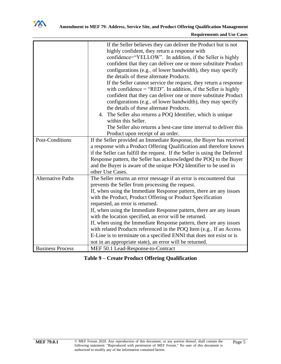

|                          | If the Seller believes they can deliver the Product but is not             |  |  |
|--------------------------|----------------------------------------------------------------------------|--|--|
|                          | highly confident, they return a response with                              |  |  |
|                          | confidence="YELLOW". In addition, if the Seller is highly                  |  |  |
|                          | confident that they can deliver one or more substitute Product             |  |  |
|                          | configurations (e.g., of lower bandwidth), they may specify                |  |  |
|                          | the details of these alternate Products.                                   |  |  |
|                          | If the Seller cannot service the request, they return a response           |  |  |
|                          | with confidence $=$ "RED". In addition, if the Seller is highly            |  |  |
|                          | confident that they can deliver one or more substitute Product             |  |  |
|                          | configurations (e.g., of lower bandwidth), they may specify                |  |  |
|                          | the details of these alternate Products.                                   |  |  |
|                          | 4. The Seller also returns a POQ Identifier, which is unique               |  |  |
|                          | within this Seller.                                                        |  |  |
|                          | The Seller also returns a best-case time interval to deliver this          |  |  |
|                          | Product upon receipt of an order.                                          |  |  |
| Post-Conditions          | If the Seller provided an Immediate Response, the Buyer has received       |  |  |
|                          | a response with a Product Offering Qualification and therefore knows       |  |  |
|                          | if the Seller can fulfill the request. If the Seller is using the Deferred |  |  |
|                          | Response pattern, the Seller has acknowledged the POQ to the Buyer         |  |  |
|                          | and the Buyer is aware of the unique POQ Identifier to be used in          |  |  |
|                          | other Use Cases.                                                           |  |  |
| <b>Alternative Paths</b> | The Seller returns an error message if an error is encountered that        |  |  |
|                          | prevents the Seller from processing the request.                           |  |  |
|                          | If, when using the Immediate Response pattern, there are any issues        |  |  |
|                          | with the Product, Product Offering or Product Specification                |  |  |
|                          | requested, an error is returned.                                           |  |  |
|                          | If, when using the Immediate Response pattern, there are any issues        |  |  |
|                          | with the location specified, an error will be returned.                    |  |  |
|                          | If, when using the Immediate Response pattern, there are any issues        |  |  |
|                          | with related Products referenced in the POQ Item (e.g., If an Access       |  |  |
|                          | E-Line is to terminate on a specified ENNI that does not exist or is       |  |  |
|                          | not in an appropriate state), an error will be returned.                   |  |  |
| <b>Business Process</b>  | MEF 50.1 Lead-Response-to-Contract                                         |  |  |

|  |  |  |  | Table 9 – Create Product Offering Qualification |
|--|--|--|--|-------------------------------------------------|
|--|--|--|--|-------------------------------------------------|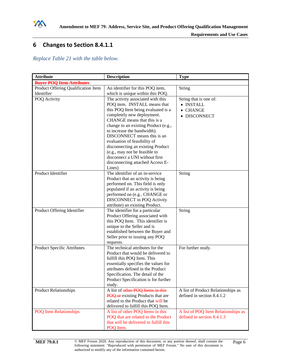

# <span id="page-9-0"></span>**6 Changes to Section 8.4.1.1**

*Replace Table 21 with the table below.*

| <b>Buyer POQ Item Attributes</b><br>Product Offering Qualification Item<br>An identifier for this POQ item,<br><b>String</b><br>Identifier<br>which is unique within this POQ.<br>POQ Activity<br>The activity associated with this<br>String that is one of:<br>POQ item. INSTALL means that<br>• INSTALL<br>this POQ Item being evaluated is a<br><b>CHANGE</b><br>completely new deployment.<br><b>DISCONNECT</b><br>$\bullet$<br>CHANGE means that this is a<br>change to an existing Product (e.g.,<br>to increase the bandwidth).<br>DISCONNECT means this is an<br>evaluation of feasibility of<br>disconnecting an existing Product<br>(e.g., may not be feasible to<br>disconnect a UNI without first<br>disconnecting attached Access E-<br>Lines)<br>The identifier of an in-service<br>Product Identifier<br>String<br>Product that an activity is being<br>performed on. This field is only<br>populated if an activity is being<br>performed on (e.g., CHANGE or<br>DISCONNECT in POQ Activity<br>attribute) an existing Product.<br>Product Offering Identifier<br>The identifier for a particular<br>String<br>Product Offering associated with<br>this POQ Item. This identifier is<br>unique to the Seller and is<br>established between the Buyer and<br>Seller prior to issuing any POQ<br>requests.<br><b>Product Specific Attributes</b><br>The technical attributes for the<br>For further study.<br>Product that would be delivered to<br>fulfill this POQ Item. This<br>essentially specifies the values for<br>attributes defined in the Product<br>Specification. The detail of the<br>Product Specification is for further<br>study.<br>A list of other POQ Items in this<br><b>Product Relationships</b><br>A list of Product Relationships as<br>defined in section 8.4.1.2<br>POQ or existing Products that are<br>related to the Product that will be<br>delivered to fulfill this POQ Item.<br><b>POQ Item Relationships</b><br>A list of POQ Item Relationships as<br>A list of other POQ Items in this<br>POQ that are related to the Product<br>defined in section 8.4.1.3 | <b>Attribute</b> | <b>Description</b>                     | <b>Type</b> |  |  |  |
|----------------------------------------------------------------------------------------------------------------------------------------------------------------------------------------------------------------------------------------------------------------------------------------------------------------------------------------------------------------------------------------------------------------------------------------------------------------------------------------------------------------------------------------------------------------------------------------------------------------------------------------------------------------------------------------------------------------------------------------------------------------------------------------------------------------------------------------------------------------------------------------------------------------------------------------------------------------------------------------------------------------------------------------------------------------------------------------------------------------------------------------------------------------------------------------------------------------------------------------------------------------------------------------------------------------------------------------------------------------------------------------------------------------------------------------------------------------------------------------------------------------------------------------------------------------------------------------------------------------------------------------------------------------------------------------------------------------------------------------------------------------------------------------------------------------------------------------------------------------------------------------------------------------------------------------------------------------------------------------------------------------------------------------------------------------------------------------------------------------|------------------|----------------------------------------|-------------|--|--|--|
|                                                                                                                                                                                                                                                                                                                                                                                                                                                                                                                                                                                                                                                                                                                                                                                                                                                                                                                                                                                                                                                                                                                                                                                                                                                                                                                                                                                                                                                                                                                                                                                                                                                                                                                                                                                                                                                                                                                                                                                                                                                                                                                |                  |                                        |             |  |  |  |
|                                                                                                                                                                                                                                                                                                                                                                                                                                                                                                                                                                                                                                                                                                                                                                                                                                                                                                                                                                                                                                                                                                                                                                                                                                                                                                                                                                                                                                                                                                                                                                                                                                                                                                                                                                                                                                                                                                                                                                                                                                                                                                                |                  |                                        |             |  |  |  |
|                                                                                                                                                                                                                                                                                                                                                                                                                                                                                                                                                                                                                                                                                                                                                                                                                                                                                                                                                                                                                                                                                                                                                                                                                                                                                                                                                                                                                                                                                                                                                                                                                                                                                                                                                                                                                                                                                                                                                                                                                                                                                                                |                  |                                        |             |  |  |  |
|                                                                                                                                                                                                                                                                                                                                                                                                                                                                                                                                                                                                                                                                                                                                                                                                                                                                                                                                                                                                                                                                                                                                                                                                                                                                                                                                                                                                                                                                                                                                                                                                                                                                                                                                                                                                                                                                                                                                                                                                                                                                                                                |                  |                                        |             |  |  |  |
|                                                                                                                                                                                                                                                                                                                                                                                                                                                                                                                                                                                                                                                                                                                                                                                                                                                                                                                                                                                                                                                                                                                                                                                                                                                                                                                                                                                                                                                                                                                                                                                                                                                                                                                                                                                                                                                                                                                                                                                                                                                                                                                |                  |                                        |             |  |  |  |
|                                                                                                                                                                                                                                                                                                                                                                                                                                                                                                                                                                                                                                                                                                                                                                                                                                                                                                                                                                                                                                                                                                                                                                                                                                                                                                                                                                                                                                                                                                                                                                                                                                                                                                                                                                                                                                                                                                                                                                                                                                                                                                                |                  |                                        |             |  |  |  |
|                                                                                                                                                                                                                                                                                                                                                                                                                                                                                                                                                                                                                                                                                                                                                                                                                                                                                                                                                                                                                                                                                                                                                                                                                                                                                                                                                                                                                                                                                                                                                                                                                                                                                                                                                                                                                                                                                                                                                                                                                                                                                                                |                  |                                        |             |  |  |  |
|                                                                                                                                                                                                                                                                                                                                                                                                                                                                                                                                                                                                                                                                                                                                                                                                                                                                                                                                                                                                                                                                                                                                                                                                                                                                                                                                                                                                                                                                                                                                                                                                                                                                                                                                                                                                                                                                                                                                                                                                                                                                                                                |                  |                                        |             |  |  |  |
|                                                                                                                                                                                                                                                                                                                                                                                                                                                                                                                                                                                                                                                                                                                                                                                                                                                                                                                                                                                                                                                                                                                                                                                                                                                                                                                                                                                                                                                                                                                                                                                                                                                                                                                                                                                                                                                                                                                                                                                                                                                                                                                |                  |                                        |             |  |  |  |
|                                                                                                                                                                                                                                                                                                                                                                                                                                                                                                                                                                                                                                                                                                                                                                                                                                                                                                                                                                                                                                                                                                                                                                                                                                                                                                                                                                                                                                                                                                                                                                                                                                                                                                                                                                                                                                                                                                                                                                                                                                                                                                                |                  |                                        |             |  |  |  |
|                                                                                                                                                                                                                                                                                                                                                                                                                                                                                                                                                                                                                                                                                                                                                                                                                                                                                                                                                                                                                                                                                                                                                                                                                                                                                                                                                                                                                                                                                                                                                                                                                                                                                                                                                                                                                                                                                                                                                                                                                                                                                                                |                  |                                        |             |  |  |  |
|                                                                                                                                                                                                                                                                                                                                                                                                                                                                                                                                                                                                                                                                                                                                                                                                                                                                                                                                                                                                                                                                                                                                                                                                                                                                                                                                                                                                                                                                                                                                                                                                                                                                                                                                                                                                                                                                                                                                                                                                                                                                                                                |                  |                                        |             |  |  |  |
|                                                                                                                                                                                                                                                                                                                                                                                                                                                                                                                                                                                                                                                                                                                                                                                                                                                                                                                                                                                                                                                                                                                                                                                                                                                                                                                                                                                                                                                                                                                                                                                                                                                                                                                                                                                                                                                                                                                                                                                                                                                                                                                |                  |                                        |             |  |  |  |
|                                                                                                                                                                                                                                                                                                                                                                                                                                                                                                                                                                                                                                                                                                                                                                                                                                                                                                                                                                                                                                                                                                                                                                                                                                                                                                                                                                                                                                                                                                                                                                                                                                                                                                                                                                                                                                                                                                                                                                                                                                                                                                                |                  |                                        |             |  |  |  |
|                                                                                                                                                                                                                                                                                                                                                                                                                                                                                                                                                                                                                                                                                                                                                                                                                                                                                                                                                                                                                                                                                                                                                                                                                                                                                                                                                                                                                                                                                                                                                                                                                                                                                                                                                                                                                                                                                                                                                                                                                                                                                                                |                  |                                        |             |  |  |  |
|                                                                                                                                                                                                                                                                                                                                                                                                                                                                                                                                                                                                                                                                                                                                                                                                                                                                                                                                                                                                                                                                                                                                                                                                                                                                                                                                                                                                                                                                                                                                                                                                                                                                                                                                                                                                                                                                                                                                                                                                                                                                                                                |                  |                                        |             |  |  |  |
|                                                                                                                                                                                                                                                                                                                                                                                                                                                                                                                                                                                                                                                                                                                                                                                                                                                                                                                                                                                                                                                                                                                                                                                                                                                                                                                                                                                                                                                                                                                                                                                                                                                                                                                                                                                                                                                                                                                                                                                                                                                                                                                |                  |                                        |             |  |  |  |
|                                                                                                                                                                                                                                                                                                                                                                                                                                                                                                                                                                                                                                                                                                                                                                                                                                                                                                                                                                                                                                                                                                                                                                                                                                                                                                                                                                                                                                                                                                                                                                                                                                                                                                                                                                                                                                                                                                                                                                                                                                                                                                                |                  |                                        |             |  |  |  |
|                                                                                                                                                                                                                                                                                                                                                                                                                                                                                                                                                                                                                                                                                                                                                                                                                                                                                                                                                                                                                                                                                                                                                                                                                                                                                                                                                                                                                                                                                                                                                                                                                                                                                                                                                                                                                                                                                                                                                                                                                                                                                                                |                  |                                        |             |  |  |  |
|                                                                                                                                                                                                                                                                                                                                                                                                                                                                                                                                                                                                                                                                                                                                                                                                                                                                                                                                                                                                                                                                                                                                                                                                                                                                                                                                                                                                                                                                                                                                                                                                                                                                                                                                                                                                                                                                                                                                                                                                                                                                                                                |                  |                                        |             |  |  |  |
|                                                                                                                                                                                                                                                                                                                                                                                                                                                                                                                                                                                                                                                                                                                                                                                                                                                                                                                                                                                                                                                                                                                                                                                                                                                                                                                                                                                                                                                                                                                                                                                                                                                                                                                                                                                                                                                                                                                                                                                                                                                                                                                |                  |                                        |             |  |  |  |
|                                                                                                                                                                                                                                                                                                                                                                                                                                                                                                                                                                                                                                                                                                                                                                                                                                                                                                                                                                                                                                                                                                                                                                                                                                                                                                                                                                                                                                                                                                                                                                                                                                                                                                                                                                                                                                                                                                                                                                                                                                                                                                                |                  |                                        |             |  |  |  |
|                                                                                                                                                                                                                                                                                                                                                                                                                                                                                                                                                                                                                                                                                                                                                                                                                                                                                                                                                                                                                                                                                                                                                                                                                                                                                                                                                                                                                                                                                                                                                                                                                                                                                                                                                                                                                                                                                                                                                                                                                                                                                                                |                  |                                        |             |  |  |  |
|                                                                                                                                                                                                                                                                                                                                                                                                                                                                                                                                                                                                                                                                                                                                                                                                                                                                                                                                                                                                                                                                                                                                                                                                                                                                                                                                                                                                                                                                                                                                                                                                                                                                                                                                                                                                                                                                                                                                                                                                                                                                                                                |                  |                                        |             |  |  |  |
|                                                                                                                                                                                                                                                                                                                                                                                                                                                                                                                                                                                                                                                                                                                                                                                                                                                                                                                                                                                                                                                                                                                                                                                                                                                                                                                                                                                                                                                                                                                                                                                                                                                                                                                                                                                                                                                                                                                                                                                                                                                                                                                |                  |                                        |             |  |  |  |
|                                                                                                                                                                                                                                                                                                                                                                                                                                                                                                                                                                                                                                                                                                                                                                                                                                                                                                                                                                                                                                                                                                                                                                                                                                                                                                                                                                                                                                                                                                                                                                                                                                                                                                                                                                                                                                                                                                                                                                                                                                                                                                                |                  |                                        |             |  |  |  |
|                                                                                                                                                                                                                                                                                                                                                                                                                                                                                                                                                                                                                                                                                                                                                                                                                                                                                                                                                                                                                                                                                                                                                                                                                                                                                                                                                                                                                                                                                                                                                                                                                                                                                                                                                                                                                                                                                                                                                                                                                                                                                                                |                  |                                        |             |  |  |  |
|                                                                                                                                                                                                                                                                                                                                                                                                                                                                                                                                                                                                                                                                                                                                                                                                                                                                                                                                                                                                                                                                                                                                                                                                                                                                                                                                                                                                                                                                                                                                                                                                                                                                                                                                                                                                                                                                                                                                                                                                                                                                                                                |                  |                                        |             |  |  |  |
|                                                                                                                                                                                                                                                                                                                                                                                                                                                                                                                                                                                                                                                                                                                                                                                                                                                                                                                                                                                                                                                                                                                                                                                                                                                                                                                                                                                                                                                                                                                                                                                                                                                                                                                                                                                                                                                                                                                                                                                                                                                                                                                |                  |                                        |             |  |  |  |
|                                                                                                                                                                                                                                                                                                                                                                                                                                                                                                                                                                                                                                                                                                                                                                                                                                                                                                                                                                                                                                                                                                                                                                                                                                                                                                                                                                                                                                                                                                                                                                                                                                                                                                                                                                                                                                                                                                                                                                                                                                                                                                                |                  |                                        |             |  |  |  |
|                                                                                                                                                                                                                                                                                                                                                                                                                                                                                                                                                                                                                                                                                                                                                                                                                                                                                                                                                                                                                                                                                                                                                                                                                                                                                                                                                                                                                                                                                                                                                                                                                                                                                                                                                                                                                                                                                                                                                                                                                                                                                                                |                  |                                        |             |  |  |  |
|                                                                                                                                                                                                                                                                                                                                                                                                                                                                                                                                                                                                                                                                                                                                                                                                                                                                                                                                                                                                                                                                                                                                                                                                                                                                                                                                                                                                                                                                                                                                                                                                                                                                                                                                                                                                                                                                                                                                                                                                                                                                                                                |                  |                                        |             |  |  |  |
|                                                                                                                                                                                                                                                                                                                                                                                                                                                                                                                                                                                                                                                                                                                                                                                                                                                                                                                                                                                                                                                                                                                                                                                                                                                                                                                                                                                                                                                                                                                                                                                                                                                                                                                                                                                                                                                                                                                                                                                                                                                                                                                |                  |                                        |             |  |  |  |
|                                                                                                                                                                                                                                                                                                                                                                                                                                                                                                                                                                                                                                                                                                                                                                                                                                                                                                                                                                                                                                                                                                                                                                                                                                                                                                                                                                                                                                                                                                                                                                                                                                                                                                                                                                                                                                                                                                                                                                                                                                                                                                                |                  |                                        |             |  |  |  |
|                                                                                                                                                                                                                                                                                                                                                                                                                                                                                                                                                                                                                                                                                                                                                                                                                                                                                                                                                                                                                                                                                                                                                                                                                                                                                                                                                                                                                                                                                                                                                                                                                                                                                                                                                                                                                                                                                                                                                                                                                                                                                                                |                  |                                        |             |  |  |  |
|                                                                                                                                                                                                                                                                                                                                                                                                                                                                                                                                                                                                                                                                                                                                                                                                                                                                                                                                                                                                                                                                                                                                                                                                                                                                                                                                                                                                                                                                                                                                                                                                                                                                                                                                                                                                                                                                                                                                                                                                                                                                                                                |                  |                                        |             |  |  |  |
|                                                                                                                                                                                                                                                                                                                                                                                                                                                                                                                                                                                                                                                                                                                                                                                                                                                                                                                                                                                                                                                                                                                                                                                                                                                                                                                                                                                                                                                                                                                                                                                                                                                                                                                                                                                                                                                                                                                                                                                                                                                                                                                |                  |                                        |             |  |  |  |
|                                                                                                                                                                                                                                                                                                                                                                                                                                                                                                                                                                                                                                                                                                                                                                                                                                                                                                                                                                                                                                                                                                                                                                                                                                                                                                                                                                                                                                                                                                                                                                                                                                                                                                                                                                                                                                                                                                                                                                                                                                                                                                                |                  |                                        |             |  |  |  |
|                                                                                                                                                                                                                                                                                                                                                                                                                                                                                                                                                                                                                                                                                                                                                                                                                                                                                                                                                                                                                                                                                                                                                                                                                                                                                                                                                                                                                                                                                                                                                                                                                                                                                                                                                                                                                                                                                                                                                                                                                                                                                                                |                  |                                        |             |  |  |  |
|                                                                                                                                                                                                                                                                                                                                                                                                                                                                                                                                                                                                                                                                                                                                                                                                                                                                                                                                                                                                                                                                                                                                                                                                                                                                                                                                                                                                                                                                                                                                                                                                                                                                                                                                                                                                                                                                                                                                                                                                                                                                                                                |                  |                                        |             |  |  |  |
|                                                                                                                                                                                                                                                                                                                                                                                                                                                                                                                                                                                                                                                                                                                                                                                                                                                                                                                                                                                                                                                                                                                                                                                                                                                                                                                                                                                                                                                                                                                                                                                                                                                                                                                                                                                                                                                                                                                                                                                                                                                                                                                |                  |                                        |             |  |  |  |
|                                                                                                                                                                                                                                                                                                                                                                                                                                                                                                                                                                                                                                                                                                                                                                                                                                                                                                                                                                                                                                                                                                                                                                                                                                                                                                                                                                                                                                                                                                                                                                                                                                                                                                                                                                                                                                                                                                                                                                                                                                                                                                                |                  |                                        |             |  |  |  |
|                                                                                                                                                                                                                                                                                                                                                                                                                                                                                                                                                                                                                                                                                                                                                                                                                                                                                                                                                                                                                                                                                                                                                                                                                                                                                                                                                                                                                                                                                                                                                                                                                                                                                                                                                                                                                                                                                                                                                                                                                                                                                                                |                  |                                        |             |  |  |  |
|                                                                                                                                                                                                                                                                                                                                                                                                                                                                                                                                                                                                                                                                                                                                                                                                                                                                                                                                                                                                                                                                                                                                                                                                                                                                                                                                                                                                                                                                                                                                                                                                                                                                                                                                                                                                                                                                                                                                                                                                                                                                                                                |                  | that will be delivered to fulfill this |             |  |  |  |
| POQ Item.                                                                                                                                                                                                                                                                                                                                                                                                                                                                                                                                                                                                                                                                                                                                                                                                                                                                                                                                                                                                                                                                                                                                                                                                                                                                                                                                                                                                                                                                                                                                                                                                                                                                                                                                                                                                                                                                                                                                                                                                                                                                                                      |                  |                                        |             |  |  |  |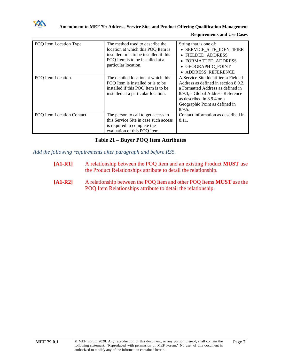

**Amendment to MEF 79: Address, Service Site, [and Product Offering Qualification Management](#page-0-0)**

**[Requirements and Use Cases](#page-0-0)**

| POQ Item Location Type    | The method used to describe the<br>location at which this POQ Item is<br>installed or is to be installed if this<br>POQ Item is to be installed at a<br>particular location. | String that is one of:<br>• SERVICE SITE IDENTIFIER<br>• FIELDED ADDRESS<br>• FORMATTED_ADDRESS<br>• GEOGRAPHIC POINT<br>• ADDRESS REFERENCE                                                                                     |
|---------------------------|------------------------------------------------------------------------------------------------------------------------------------------------------------------------------|----------------------------------------------------------------------------------------------------------------------------------------------------------------------------------------------------------------------------------|
| POQ Item Location         | The detailed location at which this<br>POO Item is installed or is to be<br>installed if this POQ Item is to be<br>installed at a particular location.                       | A Service Site Identifier, a Fielded<br>Address as defined in section 8.9.2,<br>a Formatted Address as defined in<br>8.9.3, a Global Address Reference<br>as described in 8.9.4 or a<br>Geographic Point as defined in<br>8.9.5. |
| POQ Item Location Contact | The person to call to get access to<br>this Service Site in case such access<br>is required to complete the<br>evaluation of this POQ Item.                                  | Contact information as described in<br>8.11.                                                                                                                                                                                     |

#### **Table 21 – Buyer POQ Item Attributes**

*Add the following requirements after paragraph and before R35.*

- **[A1-R1]** A relationship between the POQ Item and an existing Product **MUST** use the Product Relationships attribute to detail the relationship.
- **[A1-R2]** A relationship between the POQ Item and other POQ Items **MUST** use the POQ Item Relationships attribute to detail the relationship.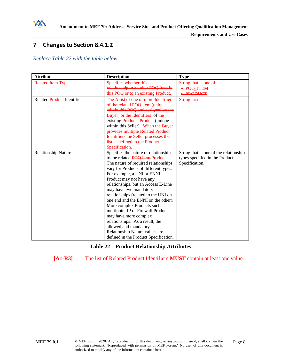

# <span id="page-11-0"></span>**7 Changes to Section 8.4.1.2**

*Replace Table 22 with the table below.*

| <b>Attribute</b>                  | <b>Description</b>                    | <b>Type</b>                            |
|-----------------------------------|---------------------------------------|----------------------------------------|
| <b>Related Item Type</b>          | Specifies whether this is a           | String that is one of:                 |
|                                   | relationship to another POQ Item in   | • POQ_ITEM                             |
|                                   | this POQ or to an existing Product.   | <b>PRODUCT</b>                         |
| <b>Related Product Identifier</b> | The A list of one or more Identifier  | <b>String-List</b>                     |
|                                   | of the related POQ item (unique       |                                        |
|                                   | within this POQ and assigned by the   |                                        |
|                                   | Buyer) or the Identifiers of the      |                                        |
|                                   | existing Products Product (unique     |                                        |
|                                   | within this Seller). When the Buyer   |                                        |
|                                   | provides multiple Related Product     |                                        |
|                                   | Identifiers the Seller processes the  |                                        |
|                                   | list as defined in the Product        |                                        |
|                                   | Specification.                        |                                        |
| <b>Relationship Nature</b>        | Specifies the nature of relationship  | String that is one of the relationship |
|                                   | to the related POQ item-Product.      | types specified in the Product         |
|                                   | The nature of required relationships  | Specification.                         |
|                                   | vary for Products of different types. |                                        |
|                                   | For example, a UNI or ENNI            |                                        |
|                                   | Product may not have any              |                                        |
|                                   | relationships, but an Access E-Line   |                                        |
|                                   | may have two mandatory                |                                        |
|                                   | relationships (related to the UNI on  |                                        |
|                                   | one end and the ENNI on the other).   |                                        |
|                                   | More complex Products such as         |                                        |
|                                   | multipoint IP or Firewall Products    |                                        |
|                                   | may have more complex                 |                                        |
|                                   | relationships. As a result, the       |                                        |
|                                   | allowed and mandatory                 |                                        |
|                                   | Relationship Nature values are        |                                        |
|                                   | defined in the Product Specification. |                                        |

#### **Table 22 – Product Relationship Attributes**

**[A1-R3]** The list of Related Product Identifiers **MUST** contain at least one value.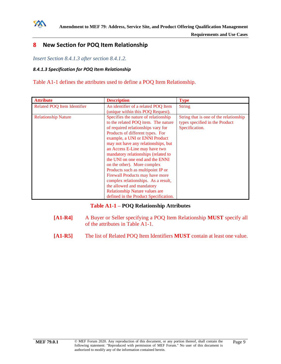

**[Requirements and Use Cases](#page-0-0)**

## <span id="page-12-0"></span>**8 New Section for POQ Item Relationship**

*Insert Section 8.4.1.3 after section 8.4.1.2.*

#### *8.4.1.3 Specification for POQ Item Relationship*

Table A1-1 defines the attributes used to define a POQ Item Relationship.

| <b>Attribute</b>                   | <b>Description</b>                    | <b>Type</b>                            |
|------------------------------------|---------------------------------------|----------------------------------------|
| <b>Related POQ Item Identifier</b> | An identifier of a related POQ Item   | <b>String</b>                          |
|                                    | (unique within this POQ Request).     |                                        |
| <b>Relationship Nature</b>         | Specifies the nature of relationship  | String that is one of the relationship |
|                                    | to the related POQ item. The nature   | types specified in the Product         |
|                                    | of required relationships vary for    | Specification.                         |
|                                    | Products of different types. For      |                                        |
|                                    | example, a UNI or ENNI Product        |                                        |
|                                    | may not have any relationships, but   |                                        |
|                                    | an Access E-Line may have two         |                                        |
|                                    | mandatory relationships (related to   |                                        |
|                                    | the UNI on one end and the ENNI       |                                        |
|                                    | on the other). More complex           |                                        |
|                                    | Products such as multipoint IP or     |                                        |
|                                    | Firewall Products may have more       |                                        |
|                                    | complex relationships. As a result,   |                                        |
|                                    | the allowed and mandatory             |                                        |
|                                    | <b>Relationship Nature values are</b> |                                        |
|                                    | defined in the Product Specification. |                                        |

#### **Table [A1-](#page-0-0)1 – POQ Relationship Attributes**

- <span id="page-12-1"></span>**[A1-R4]** A Buyer or Seller specifying a POQ Item Relationship **MUST** specify all of the attributes in Table A1-1.
- **[A1-R5]** The list of Related POQ Item Identifiers **MUST** contain at least one value.